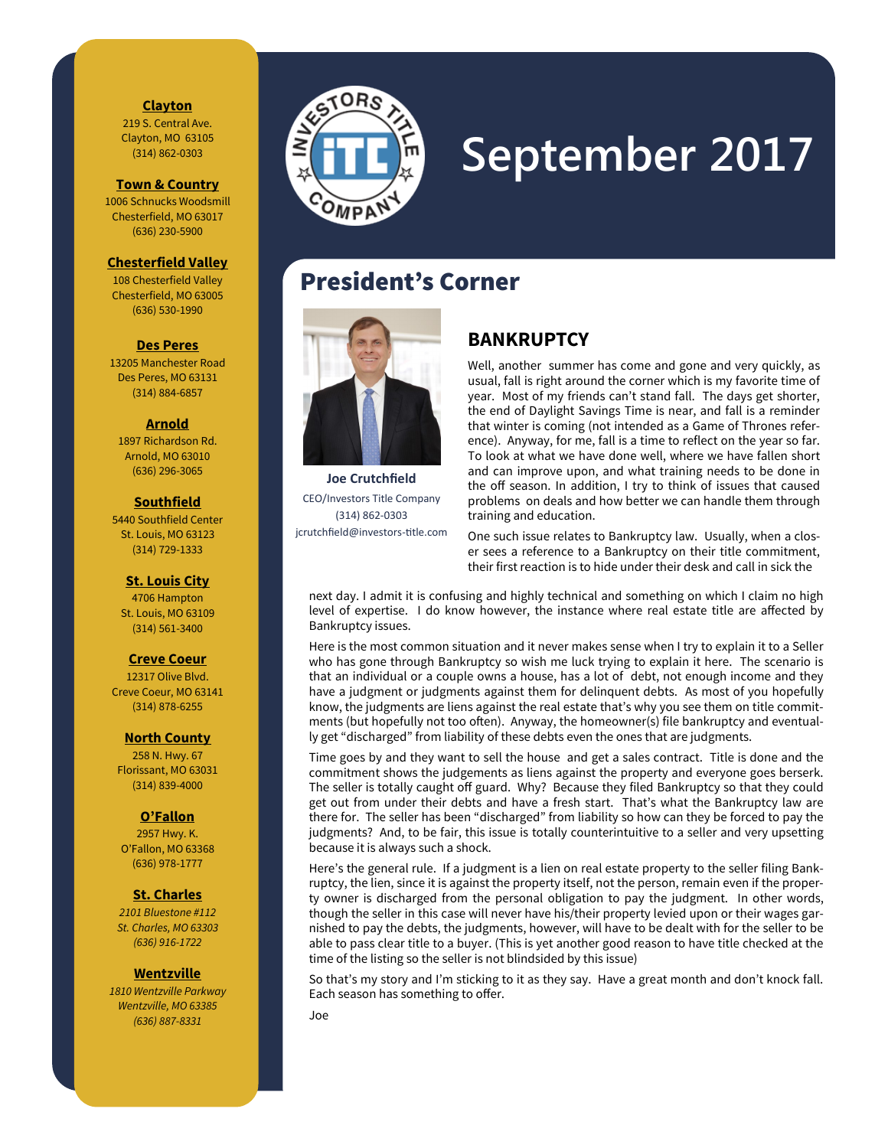### **Clayton**

219 S. Central Ave. Clayton, MO 63105 (314) 862-0303

**Town & Country**

1006 Schnucks Woodsmill Chesterfield, MO 63017 (636) 230-5900

### **Chesterfield Valley**

108 Chesterfield Valley Chesterfield, MO 63005 (636) 530-1990

#### **Des Peres**

13205 Manchester Road Des Peres, MO 63131 (314) 884-6857

#### **Arnold**

1897 Richardson Rd. Arnold, MO 63010 (636) 296-3065

### **Southfield**

5440 Southfield Center St. Louis, MO 63123 (314) 729-1333

### **St. Louis City**

4706 Hampton St. Louis, MO 63109 (314) 561-3400

### **Creve Coeur**

12317 Olive Blvd. Creve Coeur, MO 63141 (314) 878-6255

#### **North County**

258 N. Hwy. 67 Florissant, MO 63031 (314) 839-4000

### **O'Fallon**

2957 Hwy. K. O'Fallon, MO 63368 (636) 978-1777

### **St. Charles**

*2101 Bluestone #112 St. Charles, MO 63303 (636) 916-1722*

#### **Wentzville**

*1810 Wentzville Parkway Wentzville, MO 63385 (636) 887-8331*



# **September 2017**

# President's Corner



**Joe Crutchfield**  CEO/Investors Title Company (314) 862-0303 jcrutchfield@investors-title.com

### **BANKRUPTCY**

Well, another summer has come and gone and very quickly, as usual, fall is right around the corner which is my favorite time of year. Most of my friends can't stand fall. The days get shorter, the end of Daylight Savings Time is near, and fall is a reminder that winter is coming (not intended as a Game of Thrones reference). Anyway, for me, fall is a time to reflect on the year so far. To look at what we have done well, where we have fallen short and can improve upon, and what training needs to be done in the off season. In addition, I try to think of issues that caused problems on deals and how better we can handle them through training and education.

One such issue relates to Bankruptcy law. Usually, when a closer sees a reference to a Bankruptcy on their title commitment, their first reaction is to hide under their desk and call in sick the

next day. I admit it is confusing and highly technical and something on which I claim no high level of expertise. I do know however, the instance where real estate title are affected by Bankruptcy issues.

Here is the most common situation and it never makes sense when I try to explain it to a Seller who has gone through Bankruptcy so wish me luck trying to explain it here. The scenario is that an individual or a couple owns a house, has a lot of debt, not enough income and they have a judgment or judgments against them for delinquent debts. As most of you hopefully know, the judgments are liens against the real estate that's why you see them on title commitments (but hopefully not too often). Anyway, the homeowner(s) file bankruptcy and eventually get "discharged" from liability of these debts even the ones that are judgments.

Time goes by and they want to sell the house and get a sales contract. Title is done and the commitment shows the judgements as liens against the property and everyone goes berserk. The seller is totally caught off guard. Why? Because they filed Bankruptcy so that they could get out from under their debts and have a fresh start. That's what the Bankruptcy law are there for. The seller has been "discharged" from liability so how can they be forced to pay the judgments? And, to be fair, this issue is totally counterintuitive to a seller and very upsetting because it is always such a shock.

Here's the general rule. If a judgment is a lien on real estate property to the seller filing Bankruptcy, the lien, since it is against the property itself, not the person, remain even if the property owner is discharged from the personal obligation to pay the judgment. In other words, though the seller in this case will never have his/their property levied upon or their wages garnished to pay the debts, the judgments, however, will have to be dealt with for the seller to be able to pass clear title to a buyer. (This is yet another good reason to have title checked at the time of the listing so the seller is not blindsided by this issue)

So that's my story and I'm sticking to it as they say. Have a great month and don't knock fall. Each season has something to offer.

Joe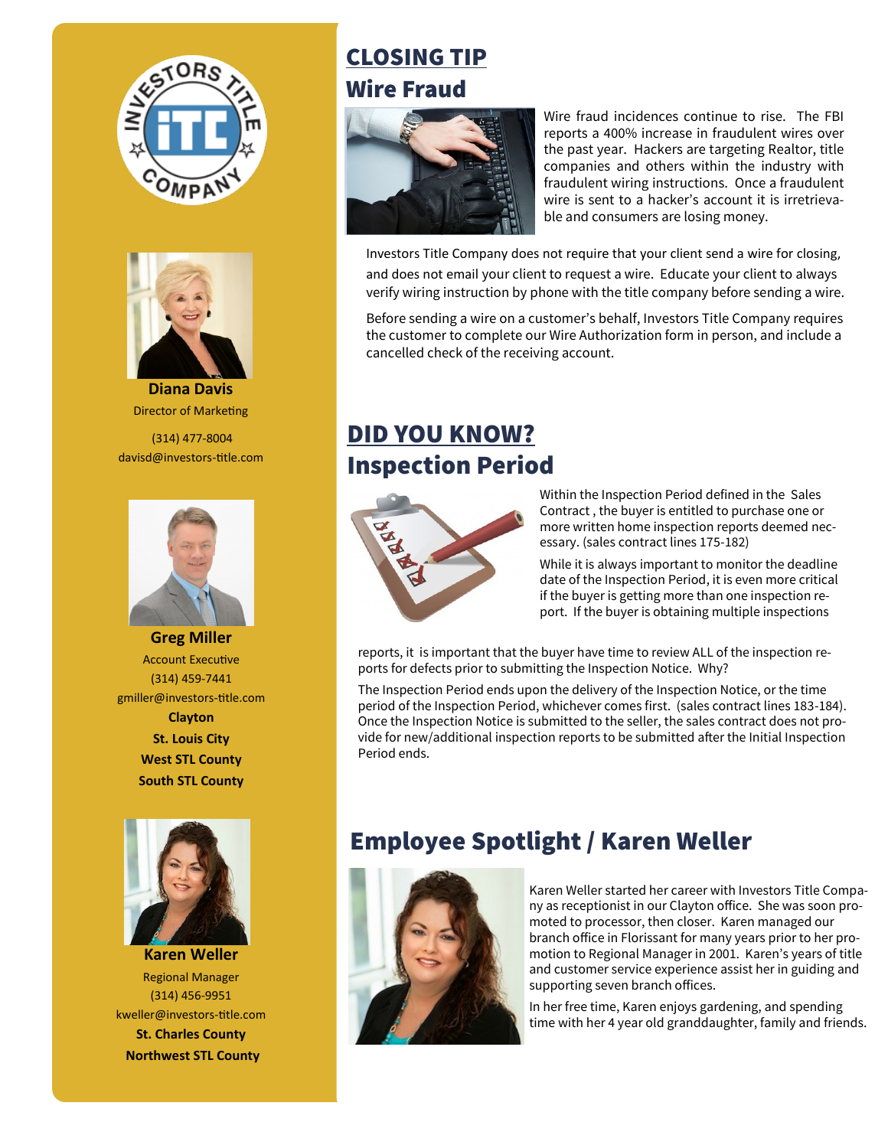



**Diana Davis**  Director of Marketing

(314) 477-8004 davisd@investors-title.com



**Greg Miller**  Account Executive (314) 459-7441 gmiller@investors-title.com **Clayton St. Louis City West STL County South STL County**



**Karen Weller**  Regional Manager (314) 456-9951 kweller@investors-title.com **St. Charles County Northwest STL County**

# CLOSING TIP Wire Fraud



Wire fraud incidences continue to rise. The FBI reports a 400% increase in fraudulent wires over the past year. Hackers are targeting Realtor, title companies and others within the industry with fraudulent wiring instructions. Once a fraudulent wire is sent to a hacker's account it is irretrievable and consumers are losing money.

Investors Title Company does not require that your client send a wire for closing,

and does not email your client to request a wire. Educate your client to always verify wiring instruction by phone with the title company before sending a wire.

Before sending a wire on a customer's behalf, Investors Title Company requires the customer to complete our Wire Authorization form in person, and include a cancelled check of the receiving account.

# DID YOU KNOW? Inspection Period



Within the Inspection Period defined in the Sales Contract , the buyer is entitled to purchase one or more written home inspection reports deemed necessary. (sales contract lines 175-182)

While it is always important to monitor the deadline date of the Inspection Period, it is even more critical if the buyer is getting more than one inspection report. If the buyer is obtaining multiple inspections

reports, it is important that the buyer have time to review ALL of the inspection reports for defects prior to submitting the Inspection Notice. Why?

The Inspection Period ends upon the delivery of the Inspection Notice, or the time period of the Inspection Period, whichever comes first. (sales contract lines 183-184). Once the Inspection Notice is submitted to the seller, the sales contract does not provide for new/additional inspection reports to be submitted after the Initial Inspection Period ends.

# Employee Spotlight / Karen Weller



Karen Weller started her career with Investors Title Company as receptionist in our Clayton office. She was soon promoted to processor, then closer. Karen managed our branch office in Florissant for many years prior to her promotion to Regional Manager in 2001. Karen's years of title and customer service experience assist her in guiding and supporting seven branch offices.

In her free time, Karen enjoys gardening, and spending time with her 4 year old granddaughter, family and friends.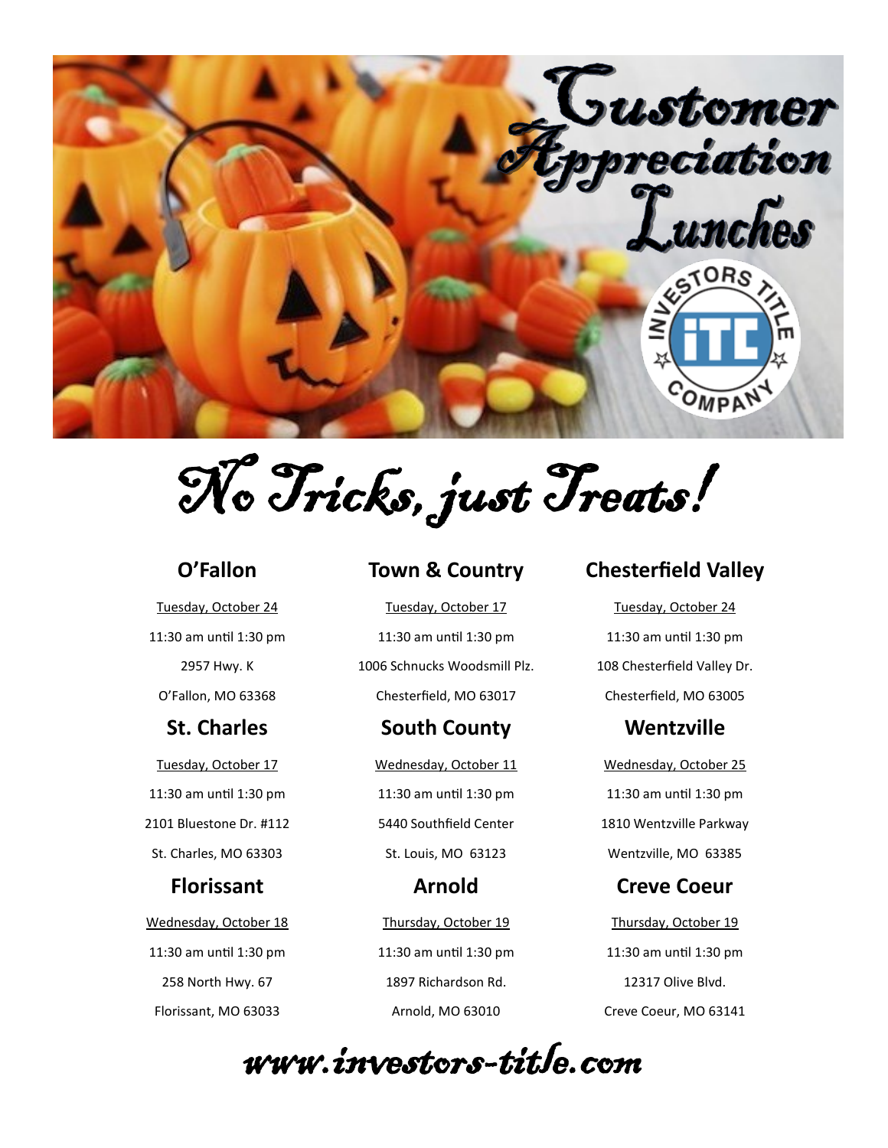

No Tricks, just Treats!

### **O'Fallon**

Tuesday, October 24 11:30 am until 1:30 pm 2957 Hwy. K O'Fallon, MO 63368

# **St. Charles**

Tuesday, October 17 11:30 am until 1:30 pm 2101 Bluestone Dr. #112 St. Charles, MO 63303

### **Florissant**

Wednesday, October 18 11:30 am until 1:30 pm 258 North Hwy. 67 Florissant, MO 63033

### **Town & Country**

Tuesday, October 17 11:30 am until 1:30 pm 1006 Schnucks Woodsmill Plz. Chesterfield, MO 63017

### **South County**

Wednesday, October 11 11:30 am until 1:30 pm 5440 Southfield Center St. Louis, MO 63123

**Arnold** Thursday, October 19 11:30 am until 1:30 pm 1897 Richardson Rd. Arnold, MO 63010

# **Chesterfield Valley**

Tuesday, October 24 11:30 am until 1:30 pm 108 Chesterfield Valley Dr. Chesterfield, MO 63005

# **Wentzville**

Wednesday, October 25 11:30 am until 1:30 pm 1810 Wentzville Parkway Wentzville, MO 63385

# **Creve Coeur**

Thursday, October 19 11:30 am until 1:30 pm 12317 Olive Blvd. Creve Coeur, MO 63141

www.investors-title.com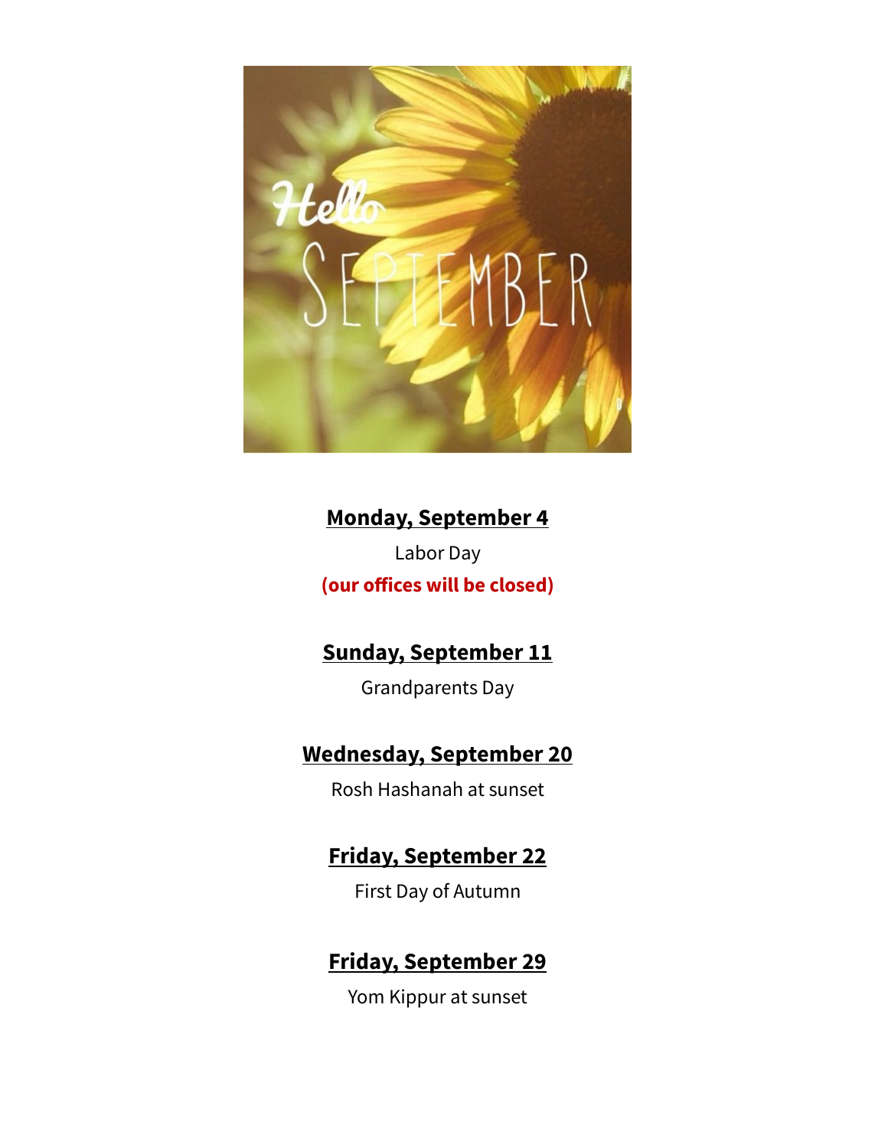

# **Monday, September 4**

Labor Day **(our offices will be closed)**

# **Sunday, September 11**

Grandparents Day

# **Wednesday, September 20**

Rosh Hashanah at sunset

# **Friday, September 22**

First Day of Autumn

# **Friday, September 29**

Yom Kippur at sunset